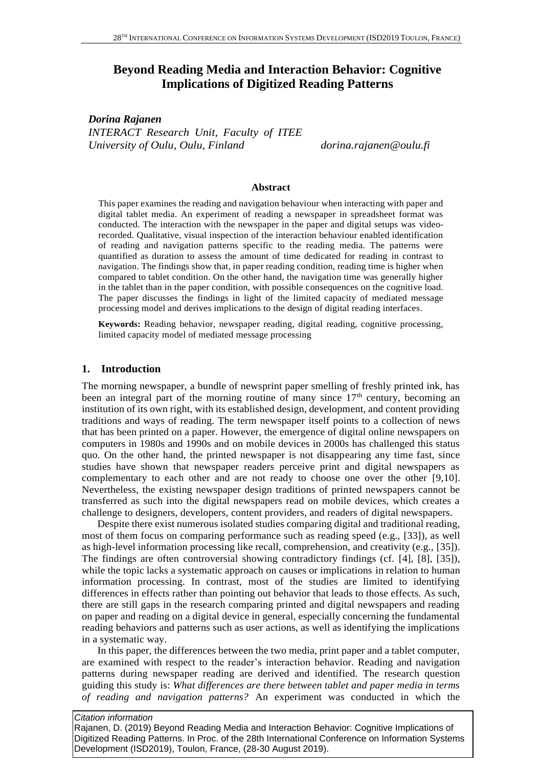# **Beyond Reading Media and Interaction Behavior: Cognitive Implications of Digitized Reading Patterns**

*Dorina Rajanen*

*INTERACT Research Unit, Faculty of ITEE University of Oulu, Oulu, Finland dorina.rajanen@oulu.fi*

### **Abstract**

This paper examines the reading and navigation behaviour when interacting with paper and digital tablet media. An experiment of reading a newspaper in spreadsheet format was conducted. The interaction with the newspaper in the paper and digital setups was videorecorded. Qualitative, visual inspection of the interaction behaviour enabled identification of reading and navigation patterns specific to the reading media. The patterns were quantified as duration to assess the amount of time dedicated for reading in contrast to navigation. The findings show that, in paper reading condition, reading time is higher when compared to tablet condition. On the other hand, the navigation time was generally higher in the tablet than in the paper condition, with possible consequences on the cognitive load. The paper discusses the findings in light of the limited capacity of mediated message processing model and derives implications to the design of digital reading interfaces.

**Keywords:** Reading behavior, newspaper reading, digital reading, cognitive processing, limited capacity model of mediated message processing

## **1. Introduction**

The morning newspaper, a bundle of newsprint paper smelling of freshly printed ink, has been an integral part of the morning routine of many since  $17<sup>th</sup>$  century, becoming an institution of its own right, with its established design, development, and content providing traditions and ways of reading. The term newspaper itself points to a collection of news that has been printed on a paper. However, the emergence of digital online newspapers on computers in 1980s and 1990s and on mobile devices in 2000s has challenged this status quo. On the other hand, the printed newspaper is not disappearing any time fast, since studies have shown that newspaper readers perceive print and digital newspapers as complementary to each other and are not ready to choose one over the other [9,10]. Nevertheless, the existing newspaper design traditions of printed newspapers cannot be transferred as such into the digital newspapers read on mobile devices, which creates a challenge to designers, developers, content providers, and readers of digital newspapers.

Despite there exist numerous isolated studies comparing digital and traditional reading, most of them focus on comparing performance such as reading speed (e.g., [33]), as well as high-level information processing like recall, comprehension, and creativity (e.g., [35]). The findings are often controversial showing contradictory findings (cf. [4], [8], [35]), while the topic lacks a systematic approach on causes or implications in relation to human information processing. In contrast, most of the studies are limited to identifying differences in effects rather than pointing out behavior that leads to those effects. As such, there are still gaps in the research comparing printed and digital newspapers and reading on paper and reading on a digital device in general, especially concerning the fundamental reading behaviors and patterns such as user actions, as well as identifying the implications in a systematic way.

In this paper, the differences between the two media, print paper and a tablet computer, are examined with respect to the reader's interaction behavior. Reading and navigation patterns during newspaper reading are derived and identified. The research question guiding this study is: *What differences are there between tablet and paper media in terms of reading and navigation patterns?* An experiment was conducted in which the

#### *Citation information*

Rajanen, D. (2019) Beyond Reading Media and Interaction Behavior: Cognitive Implications of Digitized Reading Patterns. In Proc. of the 28th International Conference on Information Systems Development (ISD2019), Toulon, France, (28-30 August 2019).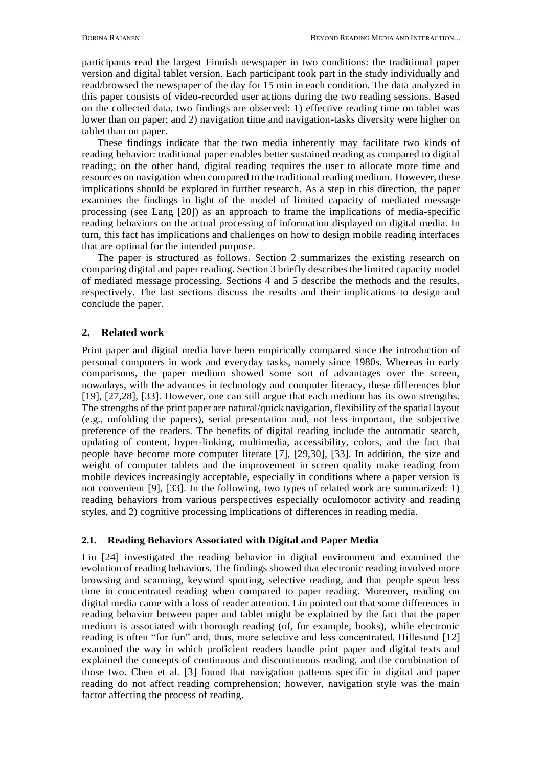participants read the largest Finnish newspaper in two conditions: the traditional paper version and digital tablet version. Each participant took part in the study individually and read/browsed the newspaper of the day for 15 min in each condition. The data analyzed in this paper consists of video-recorded user actions during the two reading sessions. Based on the collected data, two findings are observed: 1) effective reading time on tablet was lower than on paper; and 2) navigation time and navigation-tasks diversity were higher on tablet than on paper.

These findings indicate that the two media inherently may facilitate two kinds of reading behavior: traditional paper enables better sustained reading as compared to digital reading; on the other hand, digital reading requires the user to allocate more time and resources on navigation when compared to the traditional reading medium. However, these implications should be explored in further research. As a step in this direction, the paper examines the findings in light of the model of limited capacity of mediated message processing (see Lang [20]) as an approach to frame the implications of media-specific reading behaviors on the actual processing of information displayed on digital media. In turn, this fact has implications and challenges on how to design mobile reading interfaces that are optimal for the intended purpose.

The paper is structured as follows. Section 2 summarizes the existing research on comparing digital and paper reading. Section 3 briefly describes the limited capacity model of mediated message processing. Sections 4 and 5 describe the methods and the results, respectively. The last sections discuss the results and their implications to design and conclude the paper.

# **2. Related work**

Print paper and digital media have been empirically compared since the introduction of personal computers in work and everyday tasks, namely since 1980s. Whereas in early comparisons, the paper medium showed some sort of advantages over the screen, nowadays, with the advances in technology and computer literacy, these differences blur [19], [27,28], [33]. However, one can still argue that each medium has its own strengths. The strengths of the print paper are natural/quick navigation, flexibility of the spatial layout (e.g., unfolding the papers), serial presentation and, not less important, the subjective preference of the readers. The benefits of digital reading include the automatic search, updating of content, hyper-linking, multimedia, accessibility, colors, and the fact that people have become more computer literate [7], [29,30], [33]. In addition, the size and weight of computer tablets and the improvement in screen quality make reading from mobile devices increasingly acceptable, especially in conditions where a paper version is not convenient [9], [33]. In the following, two types of related work are summarized: 1) reading behaviors from various perspectives especially oculomotor activity and reading styles, and 2) cognitive processing implications of differences in reading media.

### **2.1. Reading Behaviors Associated with Digital and Paper Media**

Liu [24] investigated the reading behavior in digital environment and examined the evolution of reading behaviors. The findings showed that electronic reading involved more browsing and scanning, keyword spotting, selective reading, and that people spent less time in concentrated reading when compared to paper reading. Moreover, reading on digital media came with a loss of reader attention. Liu pointed out that some differences in reading behavior between paper and tablet might be explained by the fact that the paper medium is associated with thorough reading (of, for example, books), while electronic reading is often "for fun" and, thus, more selective and less concentrated. Hillesund [12] examined the way in which proficient readers handle print paper and digital texts and explained the concepts of continuous and discontinuous reading, and the combination of those two. Chen et al. [3] found that navigation patterns specific in digital and paper reading do not affect reading comprehension; however, navigation style was the main factor affecting the process of reading.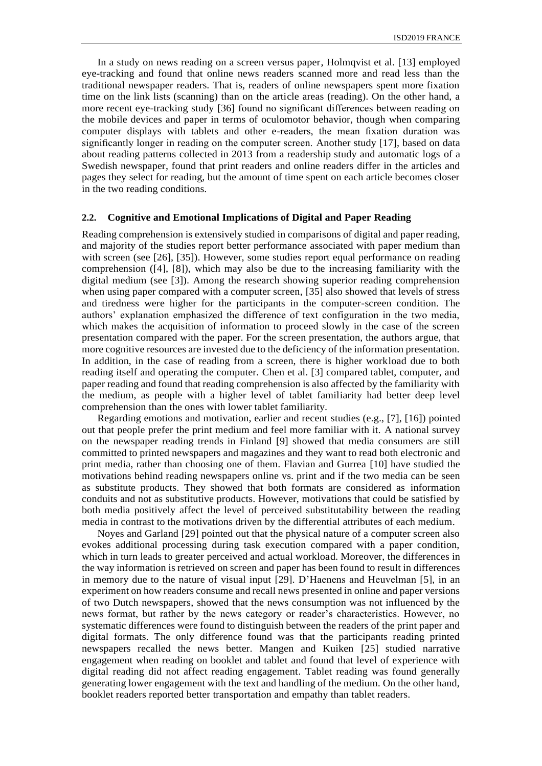In a study on news reading on a screen versus paper, Holmqvist et al. [13] employed eye-tracking and found that online news readers scanned more and read less than the traditional newspaper readers. That is, readers of online newspapers spent more fixation time on the link lists (scanning) than on the article areas (reading). On the other hand, a more recent eye-tracking study [36] found no significant differences between reading on the mobile devices and paper in terms of oculomotor behavior, though when comparing computer displays with tablets and other e-readers, the mean fixation duration was significantly longer in reading on the computer screen. Another study [17], based on data about reading patterns collected in 2013 from a readership study and automatic logs of a Swedish newspaper, found that print readers and online readers differ in the articles and pages they select for reading, but the amount of time spent on each article becomes closer in the two reading conditions.

## **2.2. Cognitive and Emotional Implications of Digital and Paper Reading**

Reading comprehension is extensively studied in comparisons of digital and paper reading, and majority of the studies report better performance associated with paper medium than with screen (see [26], [35]). However, some studies report equal performance on reading comprehension ([4], [8]), which may also be due to the increasing familiarity with the digital medium (see [3]). Among the research showing superior reading comprehension when using paper compared with a computer screen, [35] also showed that levels of stress and tiredness were higher for the participants in the computer-screen condition. The authors' explanation emphasized the difference of text configuration in the two media, which makes the acquisition of information to proceed slowly in the case of the screen presentation compared with the paper. For the screen presentation, the authors argue, that more cognitive resources are invested due to the deficiency of the information presentation. In addition, in the case of reading from a screen, there is higher workload due to both reading itself and operating the computer. Chen et al. [3] compared tablet, computer, and paper reading and found that reading comprehension is also affected by the familiarity with the medium, as people with a higher level of tablet familiarity had better deep level comprehension than the ones with lower tablet familiarity.

Regarding emotions and motivation, earlier and recent studies (e.g., [7], [16]) pointed out that people prefer the print medium and feel more familiar with it. A national survey on the newspaper reading trends in Finland [9] showed that media consumers are still committed to printed newspapers and magazines and they want to read both electronic and print media, rather than choosing one of them. Flavian and Gurrea [10] have studied the motivations behind reading newspapers online vs. print and if the two media can be seen as substitute products. They showed that both formats are considered as information conduits and not as substitutive products. However, motivations that could be satisfied by both media positively affect the level of perceived substitutability between the reading media in contrast to the motivations driven by the differential attributes of each medium.

Noyes and Garland [29] pointed out that the physical nature of a computer screen also evokes additional processing during task execution compared with a paper condition, which in turn leads to greater perceived and actual workload. Moreover, the differences in the way information is retrieved on screen and paper has been found to result in differences in memory due to the nature of visual input [29]. D'Haenens and Heuvelman [5], in an experiment on how readers consume and recall news presented in online and paper versions of two Dutch newspapers, showed that the news consumption was not influenced by the news format, but rather by the news category or reader's characteristics. However, no systematic differences were found to distinguish between the readers of the print paper and digital formats. The only difference found was that the participants reading printed newspapers recalled the news better. Mangen and Kuiken [25] studied narrative engagement when reading on booklet and tablet and found that level of experience with digital reading did not affect reading engagement. Tablet reading was found generally generating lower engagement with the text and handling of the medium. On the other hand, booklet readers reported better transportation and empathy than tablet readers.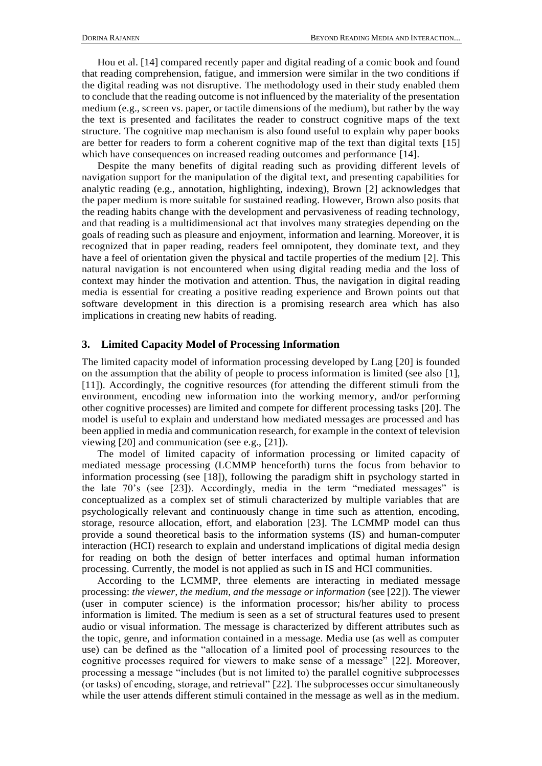Hou et al. [14] compared recently paper and digital reading of a comic book and found that reading comprehension, fatigue, and immersion were similar in the two conditions if the digital reading was not disruptive. The methodology used in their study enabled them to conclude that the reading outcome is not influenced by the materiality of the presentation medium (e.g., screen vs. paper, or tactile dimensions of the medium), but rather by the way the text is presented and facilitates the reader to construct cognitive maps of the text structure. The cognitive map mechanism is also found useful to explain why paper books are better for readers to form a coherent cognitive map of the text than digital texts [15] which have consequences on increased reading outcomes and performance [14].

Despite the many benefits of digital reading such as providing different levels of navigation support for the manipulation of the digital text, and presenting capabilities for analytic reading (e.g., annotation, highlighting, indexing), Brown [2] acknowledges that the paper medium is more suitable for sustained reading. However, Brown also posits that the reading habits change with the development and pervasiveness of reading technology, and that reading is a multidimensional act that involves many strategies depending on the goals of reading such as pleasure and enjoyment, information and learning. Moreover, it is recognized that in paper reading, readers feel omnipotent, they dominate text, and they have a feel of orientation given the physical and tactile properties of the medium [2]. This natural navigation is not encountered when using digital reading media and the loss of context may hinder the motivation and attention. Thus, the navigation in digital reading media is essential for creating a positive reading experience and Brown points out that software development in this direction is a promising research area which has also implications in creating new habits of reading.

## **3. Limited Capacity Model of Processing Information**

The limited capacity model of information processing developed by Lang [20] is founded on the assumption that the ability of people to process information is limited (see also [1], [11]). Accordingly, the cognitive resources (for attending the different stimuli from the environment, encoding new information into the working memory, and/or performing other cognitive processes) are limited and compete for different processing tasks [20]. The model is useful to explain and understand how mediated messages are processed and has been applied in media and communication research, for example in the context of television viewing [20] and communication (see e.g., [21]).

The model of limited capacity of information processing or limited capacity of mediated message processing (LCMMP henceforth) turns the focus from behavior to information processing (see [18]), following the paradigm shift in psychology started in the late 70's (see [23]). Accordingly, media in the term "mediated messages" is conceptualized as a complex set of stimuli characterized by multiple variables that are psychologically relevant and continuously change in time such as attention, encoding, storage, resource allocation, effort, and elaboration [23]. The LCMMP model can thus provide a sound theoretical basis to the information systems (IS) and human-computer interaction (HCI) research to explain and understand implications of digital media design for reading on both the design of better interfaces and optimal human information processing. Currently, the model is not applied as such in IS and HCI communities.

According to the LCMMP, three elements are interacting in mediated message processing: *the viewer, the medium, and the message or information* (see [22]). The viewer (user in computer science) is the information processor; his/her ability to process information is limited. The medium is seen as a set of structural features used to present audio or visual information. The message is characterized by different attributes such as the topic, genre, and information contained in a message. Media use (as well as computer use) can be defined as the "allocation of a limited pool of processing resources to the cognitive processes required for viewers to make sense of a message" [22]. Moreover, processing a message "includes (but is not limited to) the parallel cognitive subprocesses (or tasks) of encoding, storage, and retrieval" [22]. The subprocesses occur simultaneously while the user attends different stimuli contained in the message as well as in the medium.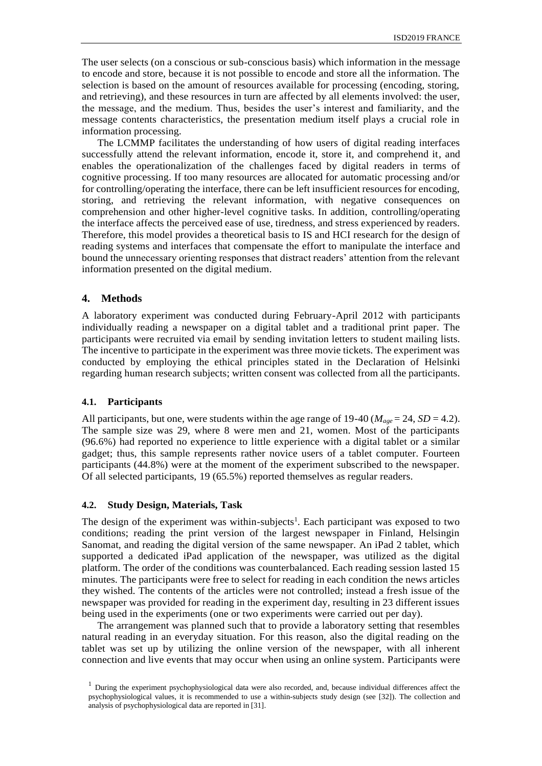The user selects (on a conscious or sub-conscious basis) which information in the message to encode and store, because it is not possible to encode and store all the information. The selection is based on the amount of resources available for processing (encoding, storing, and retrieving), and these resources in turn are affected by all elements involved: the user, the message, and the medium. Thus, besides the user's interest and familiarity, and the message contents characteristics, the presentation medium itself plays a crucial role in information processing.

The LCMMP facilitates the understanding of how users of digital reading interfaces successfully attend the relevant information, encode it, store it, and comprehend it, and enables the operationalization of the challenges faced by digital readers in terms of cognitive processing. If too many resources are allocated for automatic processing and/or for controlling/operating the interface, there can be left insufficient resources for encoding, storing, and retrieving the relevant information, with negative consequences on comprehension and other higher-level cognitive tasks. In addition, controlling/operating the interface affects the perceived ease of use, tiredness, and stress experienced by readers. Therefore, this model provides a theoretical basis to IS and HCI research for the design of reading systems and interfaces that compensate the effort to manipulate the interface and bound the unnecessary orienting responses that distract readers' attention from the relevant information presented on the digital medium.

## **4. Methods**

A laboratory experiment was conducted during February-April 2012 with participants individually reading a newspaper on a digital tablet and a traditional print paper. The participants were recruited via email by sending invitation letters to student mailing lists. The incentive to participate in the experiment was three movie tickets. The experiment was conducted by employing the ethical principles stated in the Declaration of Helsinki regarding human research subjects; written consent was collected from all the participants.

### **4.1. Participants**

All participants, but one, were students within the age range of 19-40 ( $M_{age} = 24$ ,  $SD = 4.2$ ). The sample size was 29, where 8 were men and 21, women. Most of the participants (96.6%) had reported no experience to little experience with a digital tablet or a similar gadget; thus, this sample represents rather novice users of a tablet computer. Fourteen participants (44.8%) were at the moment of the experiment subscribed to the newspaper. Of all selected participants, 19 (65.5%) reported themselves as regular readers.

### **4.2. Study Design, Materials, Task**

The design of the experiment was within-subjects<sup>1</sup>. Each participant was exposed to two conditions; reading the print version of the largest newspaper in Finland, Helsingin Sanomat, and reading the digital version of the same newspaper. An iPad 2 tablet, which supported a dedicated iPad application of the newspaper, was utilized as the digital platform. The order of the conditions was counterbalanced. Each reading session lasted 15 minutes. The participants were free to select for reading in each condition the news articles they wished. The contents of the articles were not controlled; instead a fresh issue of the newspaper was provided for reading in the experiment day, resulting in 23 different issues being used in the experiments (one or two experiments were carried out per day).

The arrangement was planned such that to provide a laboratory setting that resembles natural reading in an everyday situation. For this reason, also the digital reading on the tablet was set up by utilizing the online version of the newspaper, with all inherent connection and live events that may occur when using an online system. Participants were

 $<sup>1</sup>$  During the experiment psychophysiological data were also recorded, and, because individual differences affect the</sup> psychophysiological values, it is recommended to use a within-subjects study design (see [32]). The collection and analysis of psychophysiological data are reported in [31].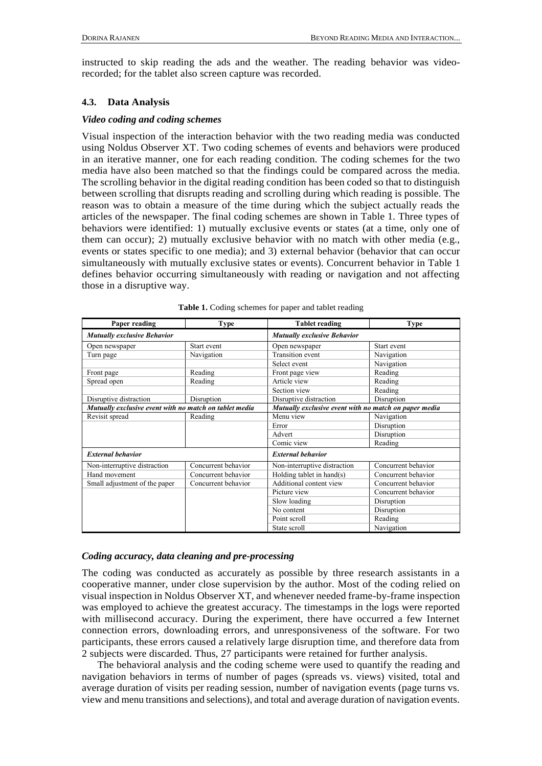instructed to skip reading the ads and the weather. The reading behavior was videorecorded; for the tablet also screen capture was recorded.

## **4.3. Data Analysis**

### *Video coding and coding schemes*

Visual inspection of the interaction behavior with the two reading media was conducted using Noldus Observer XT. Two coding schemes of events and behaviors were produced in an iterative manner, one for each reading condition. The coding schemes for the two media have also been matched so that the findings could be compared across the media. The scrolling behavior in the digital reading condition has been coded so that to distinguish between scrolling that disrupts reading and scrolling during which reading is possible. The reason was to obtain a measure of the time during which the subject actually reads the articles of the newspaper. The final coding schemes are shown in Table 1. Three types of behaviors were identified: 1) mutually exclusive events or states (at a time, only one of them can occur); 2) mutually exclusive behavior with no match with other media (e.g., events or states specific to one media); and 3) external behavior (behavior that can occur simultaneously with mutually exclusive states or events). Concurrent behavior in Table 1 defines behavior occurring simultaneously with reading or navigation and not affecting those in a disruptive way.

| Paper reading                                          | Type                | <b>Tablet reading</b>                                 | <b>Type</b>         |
|--------------------------------------------------------|---------------------|-------------------------------------------------------|---------------------|
| <b>Mutually exclusive Behavior</b>                     |                     | <b>Mutually exclusive Behavior</b>                    |                     |
| Open newspaper                                         | Start event         | Open newspaper                                        | Start event         |
| Turn page                                              | Navigation          | <b>Transition</b> event                               | Navigation          |
|                                                        |                     | Select event                                          | Navigation          |
| Front page                                             | Reading             | Front page view                                       | Reading             |
| Spread open                                            | Reading             | Article view                                          | Reading             |
|                                                        |                     | Section view                                          | Reading             |
| Disruptive distraction                                 | Disruption          | Disruptive distraction                                | Disruption          |
| Mutually exclusive event with no match on tablet media |                     | Mutually exclusive event with no match on paper media |                     |
| Revisit spread                                         | Reading             | Menu view                                             | Navigation          |
|                                                        |                     | Error                                                 | Disruption          |
|                                                        |                     | Advert                                                | Disruption          |
|                                                        |                     | Comic view                                            | Reading             |
| <b>External behavior</b>                               |                     | <b>External behavior</b>                              |                     |
| Non-interruptive distraction                           | Concurrent behavior | Non-interruptive distraction                          | Concurrent behavior |
| Hand movement                                          | Concurrent behavior | Holding tablet in $hand(s)$                           | Concurrent behavior |
| Small adjustment of the paper                          | Concurrent behavior | Additional content view                               | Concurrent behavior |
|                                                        |                     | Picture view                                          | Concurrent behavior |
|                                                        |                     | Slow loading                                          | Disruption          |
|                                                        |                     | No content                                            | Disruption          |
|                                                        |                     | Point scroll                                          | Reading             |
|                                                        |                     | State scroll                                          | Navigation          |

**Table 1.** Coding schemes for paper and tablet reading

### *Coding accuracy, data cleaning and pre-processing*

The coding was conducted as accurately as possible by three research assistants in a cooperative manner, under close supervision by the author. Most of the coding relied on visual inspection in Noldus Observer XT, and whenever needed frame-by-frame inspection was employed to achieve the greatest accuracy. The timestamps in the logs were reported with millisecond accuracy. During the experiment, there have occurred a few Internet connection errors, downloading errors, and unresponsiveness of the software. For two participants, these errors caused a relatively large disruption time, and therefore data from 2 subjects were discarded. Thus, 27 participants were retained for further analysis.

The behavioral analysis and the coding scheme were used to quantify the reading and navigation behaviors in terms of number of pages (spreads vs. views) visited, total and average duration of visits per reading session, number of navigation events (page turns vs. view and menu transitions and selections), and total and average duration of navigation events.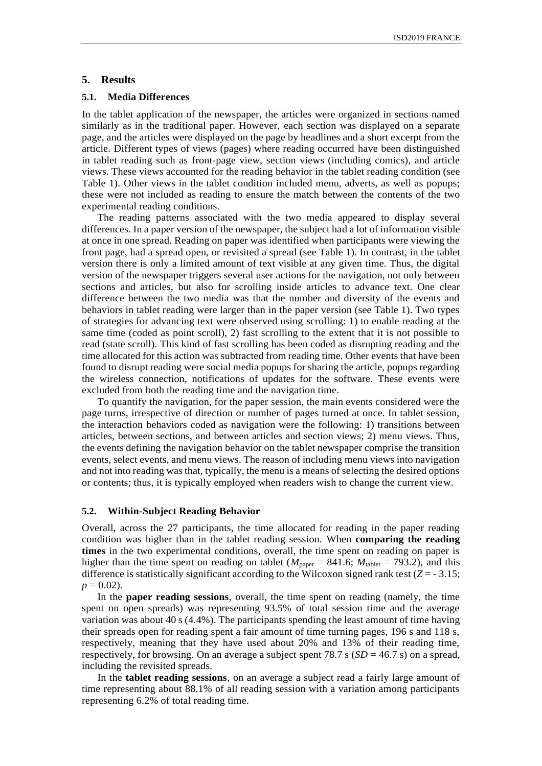# **5. Results**

## **5.1. Media Differences**

In the tablet application of the newspaper, the articles were organized in sections named similarly as in the traditional paper. However, each section was displayed on a separate page, and the articles were displayed on the page by headlines and a short excerpt from the article. Different types of views (pages) where reading occurred have been distinguished in tablet reading such as front-page view, section views (including comics), and article views. These views accounted for the reading behavior in the tablet reading condition (see Table 1). Other views in the tablet condition included menu, adverts, as well as popups; these were not included as reading to ensure the match between the contents of the two experimental reading conditions.

The reading patterns associated with the two media appeared to display several differences. In a paper version of the newspaper, the subject had a lot of information visible at once in one spread. Reading on paper was identified when participants were viewing the front page, had a spread open, or revisited a spread (see Table 1). In contrast, in the tablet version there is only a limited amount of text visible at any given time. Thus, the digital version of the newspaper triggers several user actions for the navigation, not only between sections and articles, but also for scrolling inside articles to advance text. One clear difference between the two media was that the number and diversity of the events and behaviors in tablet reading were larger than in the paper version (see Table 1). Two types of strategies for advancing text were observed using scrolling: 1) to enable reading at the same time (coded as point scroll), 2) fast scrolling to the extent that it is not possible to read (state scroll). This kind of fast scrolling has been coded as disrupting reading and the time allocated for this action was subtracted from reading time. Other events that have been found to disrupt reading were social media popups for sharing the article, popups regarding the wireless connection, notifications of updates for the software. These events were excluded from both the reading time and the navigation time.

To quantify the navigation, for the paper session, the main events considered were the page turns, irrespective of direction or number of pages turned at once. In tablet session, the interaction behaviors coded as navigation were the following: 1) transitions between articles, between sections, and between articles and section views; 2) menu views. Thus, the events defining the navigation behavior on the tablet newspaper comprise the transition events, select events, and menu views. The reason of including menu views into navigation and not into reading was that, typically, the menu is a means of selecting the desired options or contents; thus, it is typically employed when readers wish to change the current view.

### **5.2. Within-Subject Reading Behavior**

Overall, across the 27 participants, the time allocated for reading in the paper reading condition was higher than in the tablet reading session. When **comparing the reading times** in the two experimental conditions, overall, the time spent on reading on paper is higher than the time spent on reading on tablet ( $M_{\text{paper}} = 841.6$ ;  $M_{\text{tablet}} = 793.2$ ), and this difference is statistically significant according to the Wilcoxon signed rank test  $(Z = -3.15$ ;  $p = 0.02$ ).

In the **paper reading sessions**, overall, the time spent on reading (namely, the time spent on open spreads) was representing 93.5% of total session time and the average variation was about 40 s (4.4%). The participants spending the least amount of time having their spreads open for reading spent a fair amount of time turning pages, 196 s and 118 s, respectively, meaning that they have used about 20% and 13% of their reading time, respectively, for browsing. On an average a subject spent 78.7 s (*SD* = 46.7 s) on a spread, including the revisited spreads.

In the **tablet reading sessions**, on an average a subject read a fairly large amount of time representing about 88.1% of all reading session with a variation among participants representing 6.2% of total reading time.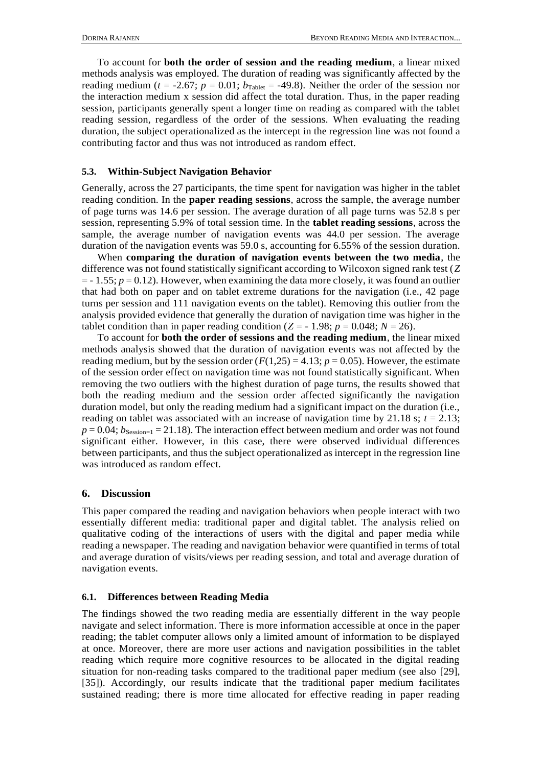To account for **both the order of session and the reading medium**, a linear mixed methods analysis was employed. The duration of reading was significantly affected by the reading medium ( $t = -2.67$ ;  $p = 0.01$ ;  $b_{Table} = -49.8$ ). Neither the order of the session nor the interaction medium x session did affect the total duration. Thus, in the paper reading session, participants generally spent a longer time on reading as compared with the tablet reading session, regardless of the order of the sessions. When evaluating the reading duration, the subject operationalized as the intercept in the regression line was not found a contributing factor and thus was not introduced as random effect.

# **5.3. Within-Subject Navigation Behavior**

Generally, across the 27 participants, the time spent for navigation was higher in the tablet reading condition. In the **paper reading sessions**, across the sample, the average number of page turns was 14.6 per session. The average duration of all page turns was 52.8 s per session, representing 5.9% of total session time. In the **tablet reading sessions**, across the sample, the average number of navigation events was 44.0 per session. The average duration of the navigation events was 59.0 s, accounting for 6.55% of the session duration.

When **comparing the duration of navigation events between the two media**, the difference was not found statistically significant according to Wilcoxon signed rank test (*Z*  $= -1.55$ ;  $p = 0.12$ ). However, when examining the data more closely, it was found an outlier that had both on paper and on tablet extreme durations for the navigation (i.e., 42 page turns per session and 111 navigation events on the tablet). Removing this outlier from the analysis provided evidence that generally the duration of navigation time was higher in the tablet condition than in paper reading condition  $(Z = -1.98; p = 0.048; N = 26)$ .

To account for **both the order of sessions and the reading medium**, the linear mixed methods analysis showed that the duration of navigation events was not affected by the reading medium, but by the session order  $(F(1,25) = 4.13; p = 0.05)$ . However, the estimate of the session order effect on navigation time was not found statistically significant. When removing the two outliers with the highest duration of page turns, the results showed that both the reading medium and the session order affected significantly the navigation duration model, but only the reading medium had a significant impact on the duration (i.e., reading on tablet was associated with an increase of navigation time by 21.18 s;  $t = 2.13$ ;  $p = 0.04$ ;  $b_{\text{Session}=1} = 21.18$ ). The interaction effect between medium and order was not found significant either. However, in this case, there were observed individual differences between participants, and thus the subject operationalized as intercept in the regression line was introduced as random effect.

# **6. Discussion**

This paper compared the reading and navigation behaviors when people interact with two essentially different media: traditional paper and digital tablet. The analysis relied on qualitative coding of the interactions of users with the digital and paper media while reading a newspaper. The reading and navigation behavior were quantified in terms of total and average duration of visits/views per reading session, and total and average duration of navigation events.

# **6.1. Differences between Reading Media**

The findings showed the two reading media are essentially different in the way people navigate and select information. There is more information accessible at once in the paper reading; the tablet computer allows only a limited amount of information to be displayed at once. Moreover, there are more user actions and navigation possibilities in the tablet reading which require more cognitive resources to be allocated in the digital reading situation for non-reading tasks compared to the traditional paper medium (see also [29], [35]). Accordingly, our results indicate that the traditional paper medium facilitates sustained reading; there is more time allocated for effective reading in paper reading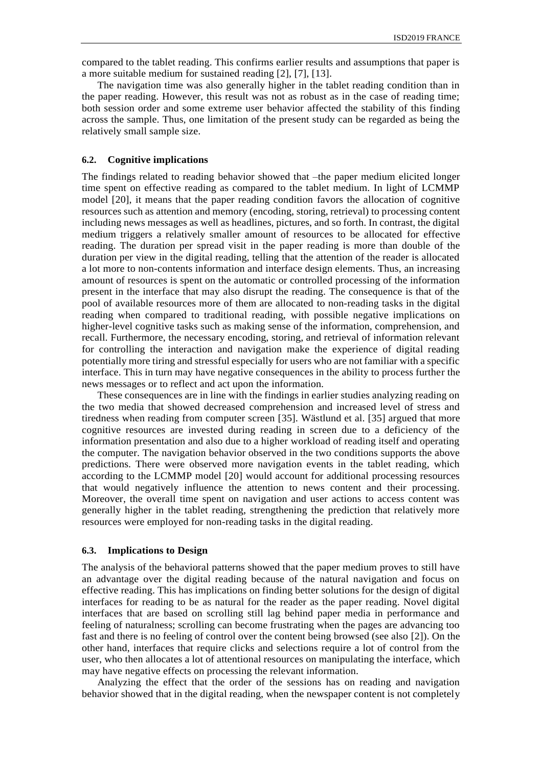compared to the tablet reading. This confirms earlier results and assumptions that paper is a more suitable medium for sustained reading [2], [7], [13].

The navigation time was also generally higher in the tablet reading condition than in the paper reading. However, this result was not as robust as in the case of reading time; both session order and some extreme user behavior affected the stability of this finding across the sample. Thus, one limitation of the present study can be regarded as being the relatively small sample size.

### **6.2. Cognitive implications**

The findings related to reading behavior showed that –the paper medium elicited longer time spent on effective reading as compared to the tablet medium. In light of LCMMP model [20], it means that the paper reading condition favors the allocation of cognitive resources such as attention and memory (encoding, storing, retrieval) to processing content including news messages as well as headlines, pictures, and so forth. In contrast, the digital medium triggers a relatively smaller amount of resources to be allocated for effective reading. The duration per spread visit in the paper reading is more than double of the duration per view in the digital reading, telling that the attention of the reader is allocated a lot more to non-contents information and interface design elements. Thus, an increasing amount of resources is spent on the automatic or controlled processing of the information present in the interface that may also disrupt the reading. The consequence is that of the pool of available resources more of them are allocated to non-reading tasks in the digital reading when compared to traditional reading, with possible negative implications on higher-level cognitive tasks such as making sense of the information, comprehension, and recall. Furthermore, the necessary encoding, storing, and retrieval of information relevant for controlling the interaction and navigation make the experience of digital reading potentially more tiring and stressful especially for users who are not familiar with a specific interface. This in turn may have negative consequences in the ability to process further the news messages or to reflect and act upon the information.

These consequences are in line with the findings in earlier studies analyzing reading on the two media that showed decreased comprehension and increased level of stress and tiredness when reading from computer screen [35]. Wästlund et al. [35] argued that more cognitive resources are invested during reading in screen due to a deficiency of the information presentation and also due to a higher workload of reading itself and operating the computer. The navigation behavior observed in the two conditions supports the above predictions. There were observed more navigation events in the tablet reading, which according to the LCMMP model [20] would account for additional processing resources that would negatively influence the attention to news content and their processing. Moreover, the overall time spent on navigation and user actions to access content was generally higher in the tablet reading, strengthening the prediction that relatively more resources were employed for non-reading tasks in the digital reading.

#### **6.3. Implications to Design**

The analysis of the behavioral patterns showed that the paper medium proves to still have an advantage over the digital reading because of the natural navigation and focus on effective reading. This has implications on finding better solutions for the design of digital interfaces for reading to be as natural for the reader as the paper reading. Novel digital interfaces that are based on scrolling still lag behind paper media in performance and feeling of naturalness; scrolling can become frustrating when the pages are advancing too fast and there is no feeling of control over the content being browsed (see also [2]). On the other hand, interfaces that require clicks and selections require a lot of control from the user, who then allocates a lot of attentional resources on manipulating the interface, which may have negative effects on processing the relevant information.

Analyzing the effect that the order of the sessions has on reading and navigation behavior showed that in the digital reading, when the newspaper content is not completely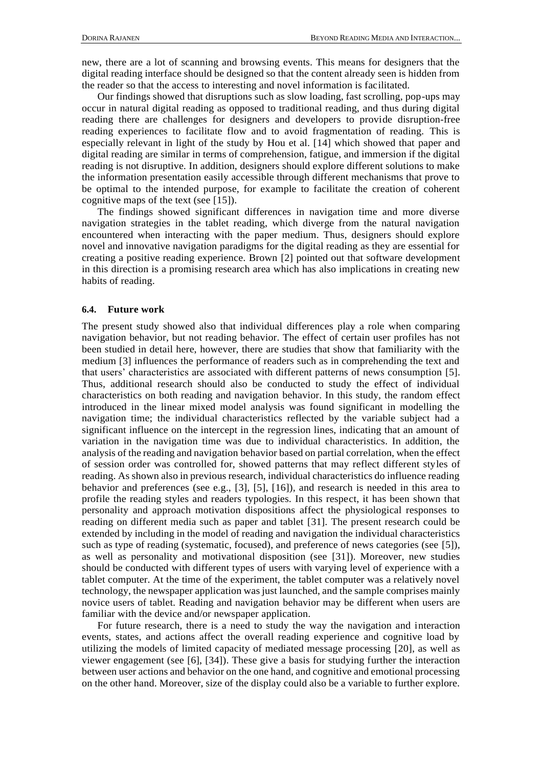new, there are a lot of scanning and browsing events. This means for designers that the digital reading interface should be designed so that the content already seen is hidden from the reader so that the access to interesting and novel information is facilitated.

Our findings showed that disruptions such as slow loading, fast scrolling, pop-ups may occur in natural digital reading as opposed to traditional reading, and thus during digital reading there are challenges for designers and developers to provide disruption-free reading experiences to facilitate flow and to avoid fragmentation of reading. This is especially relevant in light of the study by Hou et al. [14] which showed that paper and digital reading are similar in terms of comprehension, fatigue, and immersion if the digital reading is not disruptive. In addition, designers should explore different solutions to make the information presentation easily accessible through different mechanisms that prove to be optimal to the intended purpose, for example to facilitate the creation of coherent cognitive maps of the text (see [15]).

The findings showed significant differences in navigation time and more diverse navigation strategies in the tablet reading, which diverge from the natural navigation encountered when interacting with the paper medium. Thus, designers should explore novel and innovative navigation paradigms for the digital reading as they are essential for creating a positive reading experience. Brown [2] pointed out that software development in this direction is a promising research area which has also implications in creating new habits of reading.

### **6.4. Future work**

The present study showed also that individual differences play a role when comparing navigation behavior, but not reading behavior. The effect of certain user profiles has not been studied in detail here, however, there are studies that show that familiarity with the medium [3] influences the performance of readers such as in comprehending the text and that users' characteristics are associated with different patterns of news consumption [5]. Thus, additional research should also be conducted to study the effect of individual characteristics on both reading and navigation behavior. In this study, the random effect introduced in the linear mixed model analysis was found significant in modelling the navigation time; the individual characteristics reflected by the variable subject had a significant influence on the intercept in the regression lines, indicating that an amount of variation in the navigation time was due to individual characteristics. In addition, the analysis of the reading and navigation behavior based on partial correlation, when the effect of session order was controlled for, showed patterns that may reflect different styles of reading. As shown also in previous research, individual characteristics do influence reading behavior and preferences (see e.g.,  $[3]$ ,  $[5]$ ,  $[16]$ ), and research is needed in this area to profile the reading styles and readers typologies. In this respect, it has been shown that personality and approach motivation dispositions affect the physiological responses to reading on different media such as paper and tablet [31]. The present research could be extended by including in the model of reading and navigation the individual characteristics such as type of reading (systematic, focused), and preference of news categories (see [5]), as well as personality and motivational disposition (see [31]). Moreover, new studies should be conducted with different types of users with varying level of experience with a tablet computer. At the time of the experiment, the tablet computer was a relatively novel technology, the newspaper application was just launched, and the sample comprises mainly novice users of tablet. Reading and navigation behavior may be different when users are familiar with the device and/or newspaper application.

For future research, there is a need to study the way the navigation and interaction events, states, and actions affect the overall reading experience and cognitive load by utilizing the models of limited capacity of mediated message processing [20], as well as viewer engagement (see [6], [34]). These give a basis for studying further the interaction between user actions and behavior on the one hand, and cognitive and emotional processing on the other hand. Moreover, size of the display could also be a variable to further explore.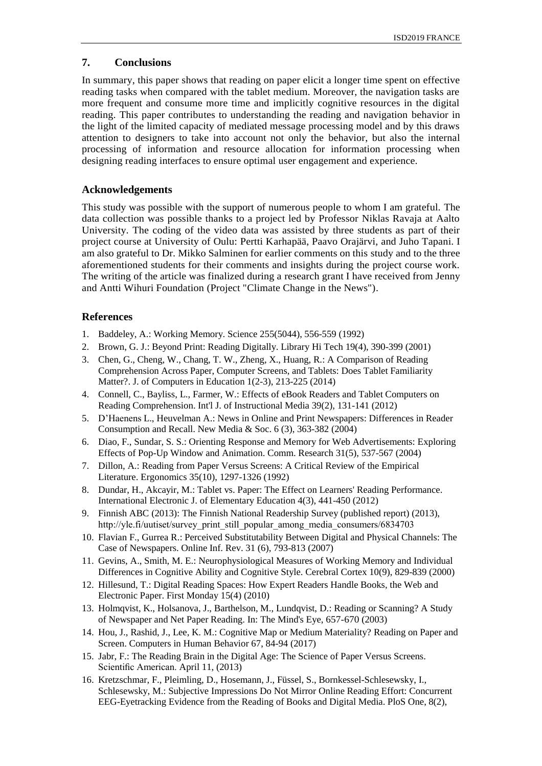# **7. Conclusions**

In summary, this paper shows that reading on paper elicit a longer time spent on effective reading tasks when compared with the tablet medium. Moreover, the navigation tasks are more frequent and consume more time and implicitly cognitive resources in the digital reading. This paper contributes to understanding the reading and navigation behavior in the light of the limited capacity of mediated message processing model and by this draws attention to designers to take into account not only the behavior, but also the internal processing of information and resource allocation for information processing when designing reading interfaces to ensure optimal user engagement and experience.

# **Acknowledgements**

This study was possible with the support of numerous people to whom I am grateful. The data collection was possible thanks to a project led by Professor Niklas Ravaja at Aalto University. The coding of the video data was assisted by three students as part of their project course at University of Oulu: Pertti Karhapää, Paavo Orajärvi, and Juho Tapani. I am also grateful to Dr. Mikko Salminen for earlier comments on this study and to the three aforementioned students for their comments and insights during the project course work. The writing of the article was finalized during a research grant I have received from Jenny and Antti Wihuri Foundation (Project "Climate Change in the News").

# **References**

- 1. Baddeley, A.: Working Memory. Science 255(5044), 556-559 (1992)
- 2. Brown, G. J.: Beyond Print: Reading Digitally. Library Hi Tech 19(4), 390-399 (2001)
- 3. Chen, G., Cheng, W., Chang, T. W., Zheng, X., Huang, R.: A Comparison of Reading Comprehension Across Paper, Computer Screens, and Tablets: Does Tablet Familiarity Matter?. J. of Computers in Education 1(2-3), 213-225 (2014)
- 4. Connell, C., Bayliss, L., Farmer, W.: Effects of eBook Readers and Tablet Computers on Reading Comprehension. Int'l J. of Instructional Media 39(2), 131-141 (2012)
- 5. D'Haenens L., Heuvelman A.: News in Online and Print Newspapers: Differences in Reader Consumption and Recall. New Media & Soc. 6 (3), 363-382 (2004)
- 6. Diao, F., Sundar, S. S.: Orienting Response and Memory for Web Advertisements: Exploring Effects of Pop-Up Window and Animation. Comm. Research 31(5), 537-567 (2004)
- 7. Dillon, A.: Reading from Paper Versus Screens: A Critical Review of the Empirical Literature. Ergonomics 35(10), 1297-1326 (1992)
- 8. Dundar, H., Akcayir, M.: Tablet vs. Paper: The Effect on Learners' Reading Performance. International Electronic J. of Elementary Education 4(3), 441-450 (2012)
- 9. Finnish ABC (2013): The Finnish National Readership Survey (published report) (2013), http://yle.fi/uutiset/survey\_print\_still\_popular\_among\_media\_consumers/6834703
- 10. Flavian F., Gurrea R.: Perceived Substitutability Between Digital and Physical Channels: The Case of Newspapers. Online Inf. Rev. 31 (6), 793-813 (2007)
- 11. Gevins, A., Smith, M. E.: Neurophysiological Measures of Working Memory and Individual Differences in Cognitive Ability and Cognitive Style. Cerebral Cortex 10(9), 829-839 (2000)
- 12. Hillesund, T.: Digital Reading Spaces: How Expert Readers Handle Books, the Web and Electronic Paper. First Monday 15(4) (2010)
- 13. Holmqvist, K., Holsanova, J., Barthelson, M., Lundqvist, D.: Reading or Scanning? A Study of Newspaper and Net Paper Reading. In: The Mind's Eye, 657-670 (2003)
- 14. Hou, J., Rashid, J., Lee, K. M.: Cognitive Map or Medium Materiality? Reading on Paper and Screen. Computers in Human Behavior 67, 84-94 (2017)
- 15. Jabr, F.: The Reading Brain in the Digital Age: The Science of Paper Versus Screens. Scientific American. April 11, (2013)
- 16. Kretzschmar, F., Pleimling, D., Hosemann, J., Füssel, S., Bornkessel-Schlesewsky, I., Schlesewsky, M.: Subjective Impressions Do Not Mirror Online Reading Effort: Concurrent EEG-Eyetracking Evidence from the Reading of Books and Digital Media. PloS One, 8(2),